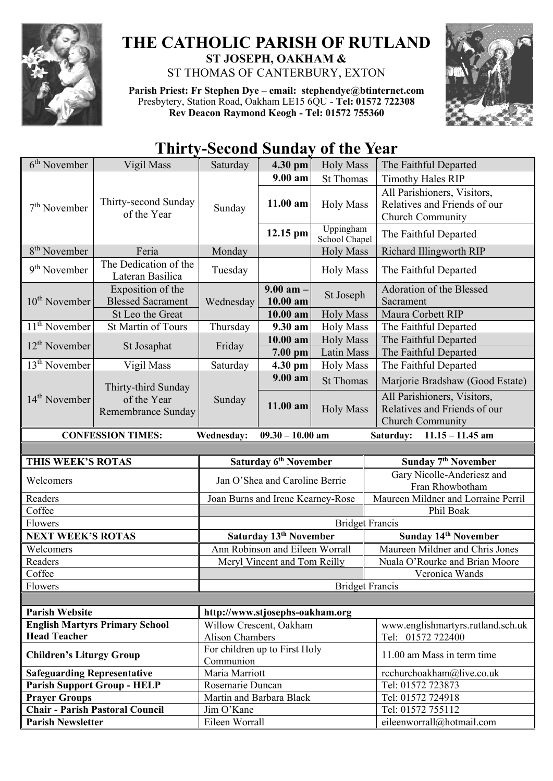

## **THE CATHOLIC PARISH OF RUTLAND ST JOSEPH, OAKHAM &**  ST THOMAS OF CANTERBURY, EXTON

**Parish Priest: Fr Stephen Dye** – **[email: stephendye@btinternet.com](mailto:email:%20%20stephendye@btinternet.com)** Presbytery, Station Road, Oakham LE15 6QU - **Tel: 01572 722308 Rev Deacon Raymond Keogh - Tel: 01572 755360**



## **Thirty-Second Sunday of the Year**

| 6 <sup>th</sup> November                               | Vigil Mass                                    | Saturday                                                | 4.30 pm                            | <b>Holy Mass</b>           | The Faithful Departed                                                                  |  |  |  |
|--------------------------------------------------------|-----------------------------------------------|---------------------------------------------------------|------------------------------------|----------------------------|----------------------------------------------------------------------------------------|--|--|--|
|                                                        |                                               |                                                         | $9.00 a$ m                         | <b>St Thomas</b>           | <b>Timothy Hales RIP</b>                                                               |  |  |  |
| $7th$ November                                         | Thirty-second Sunday<br>of the Year           | Sunday                                                  | 11.00 am                           | <b>Holy Mass</b>           | All Parishioners, Visitors,<br>Relatives and Friends of our<br>Church Community        |  |  |  |
|                                                        |                                               |                                                         | 12.15 pm                           | Uppingham<br>School Chapel | The Faithful Departed                                                                  |  |  |  |
| 8 <sup>th</sup> November                               | Feria                                         | Monday                                                  |                                    | <b>Holy Mass</b>           | Richard Illingworth RIP                                                                |  |  |  |
| $9th$ November                                         | The Dedication of the<br>Lateran Basilica     | Tuesday                                                 |                                    | <b>Holy Mass</b>           | The Faithful Departed                                                                  |  |  |  |
| 10 <sup>th</sup> November                              | Exposition of the<br><b>Blessed Sacrament</b> | Wednesday                                               | $9.00$ am $-$<br>$10.00$ am        | St Joseph                  | Adoration of the Blessed<br>Sacrament                                                  |  |  |  |
|                                                        | St Leo the Great                              |                                                         | 10.00 am                           | <b>Holy Mass</b>           | Maura Corbett RIP                                                                      |  |  |  |
| $11th$ November                                        | St Martin of Tours                            | Thursday                                                | 9.30 am                            | <b>Holy Mass</b>           | The Faithful Departed                                                                  |  |  |  |
| $12th$ November                                        | St Josaphat                                   | Friday                                                  | $10.00$ am                         | <b>Holy Mass</b>           | The Faithful Departed                                                                  |  |  |  |
|                                                        |                                               |                                                         | $7.00$ pm                          | Latin Mass                 | The Faithful Departed                                                                  |  |  |  |
| $13th$ November                                        | Vigil Mass                                    | Saturday                                                | 4.30 pm                            | <b>Holy Mass</b>           | The Faithful Departed                                                                  |  |  |  |
|                                                        | Thirty-third Sunday                           |                                                         | 9.00 am                            | <b>St Thomas</b>           | Marjorie Bradshaw (Good Estate)                                                        |  |  |  |
| $14th$ November                                        | of the Year<br>Remembrance Sunday             | Sunday                                                  | 11.00 am                           | <b>Holy Mass</b>           | All Parishioners, Visitors,<br>Relatives and Friends of our<br><b>Church Community</b> |  |  |  |
|                                                        | <b>CONFESSION TIMES:</b>                      | Wednesday:                                              | $09.30 - 10.00$ am                 |                            | Saturday: 11.15 - 11.45 am                                                             |  |  |  |
|                                                        |                                               |                                                         |                                    |                            |                                                                                        |  |  |  |
|                                                        |                                               |                                                         |                                    |                            |                                                                                        |  |  |  |
| THIS WEEK'S ROTAS                                      |                                               |                                                         | Saturday 6 <sup>th</sup> November  |                            | Sunday 7 <sup>th</sup> November                                                        |  |  |  |
| Welcomers                                              |                                               |                                                         | Jan O'Shea and Caroline Berrie     |                            | Gary Nicolle-Anderiesz and<br>Fran Rhowbotham                                          |  |  |  |
| Readers                                                |                                               |                                                         | Joan Burns and Irene Kearney-Rose  |                            | Maureen Mildner and Lorraine Perril                                                    |  |  |  |
| Coffee                                                 |                                               |                                                         |                                    |                            | Phil Boak                                                                              |  |  |  |
| Flowers                                                |                                               |                                                         |                                    | <b>Bridget Francis</b>     |                                                                                        |  |  |  |
| <b>NEXT WEEK'S ROTAS</b>                               |                                               |                                                         | Saturday 13 <sup>th</sup> November |                            | Sunday 14th November                                                                   |  |  |  |
| Welcomers                                              |                                               |                                                         | Ann Robinson and Eileen Worrall    |                            | Maureen Mildner and Chris Jones                                                        |  |  |  |
| Readers                                                |                                               |                                                         | Meryl Vincent and Tom Reilly       |                            | Nuala O'Rourke and Brian Moore                                                         |  |  |  |
| Coffee                                                 |                                               |                                                         |                                    |                            | Veronica Wands                                                                         |  |  |  |
| Flowers                                                |                                               |                                                         |                                    | <b>Bridget Francis</b>     |                                                                                        |  |  |  |
|                                                        |                                               |                                                         |                                    |                            |                                                                                        |  |  |  |
| <b>Parish Website</b>                                  |                                               | http://www.stjosephs-oakham.org                         |                                    |                            |                                                                                        |  |  |  |
|                                                        | <b>English Martyrs Primary School</b>         | Willow Crescent, Oakham                                 |                                    |                            | www.englishmartyrs.rutland.sch.uk                                                      |  |  |  |
| <b>Head Teacher</b><br><b>Children's Liturgy Group</b> |                                               | <b>Alison Chambers</b><br>For children up to First Holy |                                    |                            | Tel: 01572 722400<br>11.00 am Mass in term time                                        |  |  |  |
|                                                        |                                               | Communion<br>Maria Marriott                             |                                    |                            |                                                                                        |  |  |  |
| <b>Safeguarding Representative</b>                     | <b>Parish Support Group - HELP</b>            | Rosemarie Duncan                                        |                                    |                            | rcchurchoakham@live.co.uk<br>Tel: 01572 723873                                         |  |  |  |
| <b>Prayer Groups</b>                                   |                                               | Martin and Barbara Black                                |                                    |                            | Tel: 01572 724918                                                                      |  |  |  |
|                                                        | <b>Chair - Parish Pastoral Council</b>        | Jim O'Kane                                              |                                    |                            | Tel: 01572 755112                                                                      |  |  |  |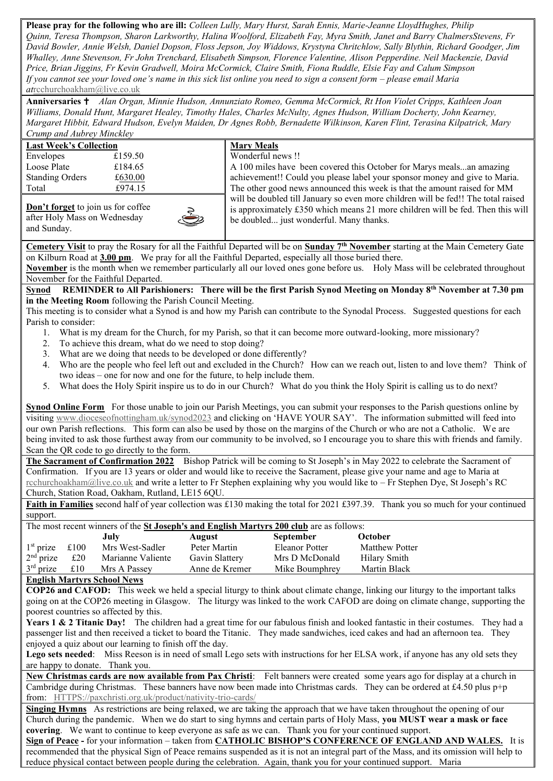**Please pray for the following who are ill:** *Colleen Lully, Mary Hurst, Sarah Ennis, Marie-Jeanne LloydHughes, Philip Quinn, Teresa Thompson, Sharon Larkworthy, Halina Woolford, Elizabeth Fay, Myra Smith, Janet and Barry ChalmersStevens, Fr David Bowler, Annie Welsh, Daniel Dopson, Floss Jepson, Joy Widdows, Krystyna Chritchlow, Sally Blythin, Richard Goodger, Jim Whalley, Anne Stevenson, Fr John Trenchard, Elisabeth Simpson, Florence Valentine, Alison Pepperdine. Neil Mackenzie, David Price, Brian Jiggins, Fr Kevin Gradwell, Moira McCormick, Claire Smith, Fiona Ruddle, Elsie Fay and Calum Simpson If you cannot see your loved one's name in this sick list online you need to sign a consent form – please email Maria at*[rcchurchoakham@live.co.uk](mailto:rcchurchoakham@live.co.uk)

**Anniversaries**  *Alan Organ, Minnie Hudson, Annunziato Romeo, Gemma McCormick, Rt Hon Violet Cripps, Kathleen Joan Williams, Donald Hunt, Margaret Healey, Timothy Hales, Charles McNulty, Agnes Hudson, William Docherty, John Kearney, Margaret Hibbit, Edward Hudson, Evelyn Maiden, Dr Agnes Robb, Bernadette Wilkinson, Karen Flint, Terasina Kilpatrick, Mary Crump and Aubrey Minckley*

| <b>Last Week's Collection</b> |         |  |  |  |  |
|-------------------------------|---------|--|--|--|--|
| Envelopes                     | £159.50 |  |  |  |  |
| Loose Plate                   | £184.65 |  |  |  |  |
| <b>Standing Orders</b>        | £630.00 |  |  |  |  |
| Total                         | £974.15 |  |  |  |  |
|                               |         |  |  |  |  |

| <b>Mary Meals</b>    |
|----------------------|
| Wonderful news !!    |
| A 100 miles have b   |
| achievement!! Cou    |
| The other good nev   |
| will be doubled till |
|                      |

**Don't forget** to join us for coffee after Holy Mass on Wednesday and Sunday.

been covered this October for Marys meals...an amazing uld you please label your sponsor money and give to Maria. the set of this week is that the amount raised for MM Il January so even more children will be fed!! The total raised is approximately £350 which means 21 more children will be fed. Then this will be doubled... just wonderful. Many thanks.

**Cemetery Visit** to pray the Rosary for all the Faithful Departed will be on **Sunday 7th November** starting at the Main Cemetery Gate on Kilburn Road at **3.00 pm**. We pray for all the Faithful Departed, especially all those buried there.

**November** is the month when we remember particularly all our loved ones gone before us. Holy Mass will be celebrated throughout November for the Faithful Departed.

**Synod REMINDER to All Parishioners: There will be the first Parish Synod Meeting on Monday 8th November at 7.30 pm in the Meeting Room** following the Parish Council Meeting.

This meeting is to consider what a Synod is and how my Parish can contribute to the Synodal Process. Suggested questions for each Parish to consider:

- 1. What is my dream for the Church, for my Parish, so that it can become more outward-looking, more missionary?
- 2. To achieve this dream, what do we need to stop doing?
- 3. What are we doing that needs to be developed or done differently?
- 4. Who are the people who feel left out and excluded in the Church? How can we reach out, listen to and love them? Think of two ideas – one for now and one for the future, to help include them.
- 5. What does the Holy Spirit inspire us to do in our Church? What do you think the Holy Spirit is calling us to do next?

**Synod Online Form** For those unable to join our Parish Meetings, you can submit your responses to the Parish questions online by visiting [www.dioceseofnottingham.uk/synod2023](http://www.dioceseofnottingham.uk/synod2023) and clicking on 'HAVE YOUR SAY'. The information submitted will feed into our own Parish reflections. This form can also be used by those on the margins of the Church or who are not a Catholic. We are being invited to ask those furthest away from our community to be involved, so I encourage you to share this with friends and family. Scan the QR code to go directly to the form.

**The Sacrament of Confirmation 2022** Bishop Patrick will be coming to St Joseph's in May 2022 to celebrate the Sacrament of Confirmation. If you are 13 years or older and would like to receive the Sacrament, please give your name and age to Maria at [rcchurchoakham@live.co.uk](mailto:rcchurchoakham@live.co.uk) and write a letter to Fr Stephen explaining why you would like to – Fr Stephen Dye, St Joseph's RC Church, Station Road, Oakham, Rutland, LE15 6QU.

**Faith in Families** second half of year collection was £130 making the total for 2021 £397.39. Thank you so much for your continued support.

The most recent winners of the **St Joseph's and English Martyrs 200 club** are as follows:

|                  |     | July              | August         | <b>September</b> | October               |  |  |
|------------------|-----|-------------------|----------------|------------------|-----------------------|--|--|
| $1st$ prize £100 |     | Mrs West-Sadler   | Peter Martin   | Eleanor Potter   | <b>Matthew Potter</b> |  |  |
| $2nd$ prize      | £20 | Marianne Valiente | Gavin Slattery | Mrs D McDonald   | Hilary Smith          |  |  |
| $3rd$ prize      | £10 | Mrs A Passey      | Anne de Kremer | Mike Boumphrey   | Martin Black          |  |  |
|                  |     |                   |                |                  |                       |  |  |

**English Martyrs School News**

**COP26 and CAFOD:** This week we held a special liturgy to think about climate change, linking our liturgy to the important talks going on at the COP26 meeting in Glasgow. The liturgy was linked to the work CAFOD are doing on climate change, supporting the poorest countries so affected by this.

**Years 1 & 2 Titanic Day!** The children had a great time for our fabulous finish and looked fantastic in their costumes. They had a passenger list and then received a ticket to board the Titanic. They made sandwiches, iced cakes and had an afternoon tea. They enjoyed a quiz about our learning to finish off the day.

Lego sets needed: Miss Reeson is in need of small Lego sets with instructions for her ELSA work, if anyone has any old sets they are happy to donate. Thank you.

**New Christmas cards are now available from Pax Christi**: Felt banners were created some years ago for display at a church in Cambridge during Christmas. These banners have now been made into Christmas cards. They can be ordered at £4.50 plus  $p+p$ from: [HTTPS://paxchristi.org.uk/product/nativity-trio-cards/](https://paxchristi.org.uk/product/nativity-trio-cards/)

**Singing Hymns** As restrictions are being relaxed, we are taking the approach that we have taken throughout the opening of our Church during the pandemic. When we do start to sing hymns and certain parts of Holy Mass, **you MUST wear a mask or face covering**. We want to continue to keep everyone as safe as we can. Thank you for your continued support.

**Sign of Peace -** for your information – taken from **CATHOLIC BISHOP'S CONFERENCE OF ENGLAND AND WALES.** It is recommended that the physical Sign of Peace remains suspended as it is not an integral part of the Mass, and its omission will help to reduce physical contact between people during the celebration. Again, thank you for your continued support. Maria